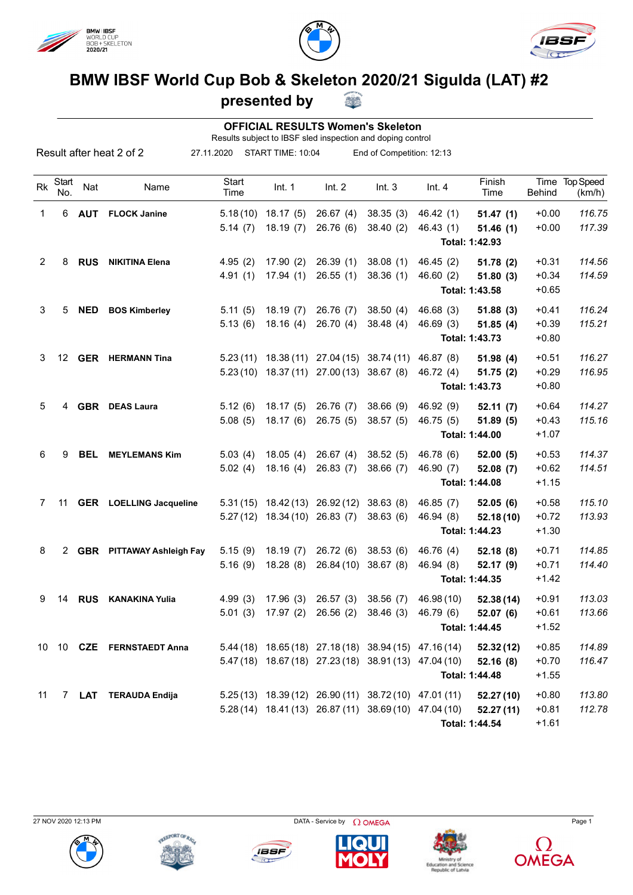





## **BMW IBSF World Cup Bob & Skeleton 2020/21 Sigulda (LAT) #2**

**presented by**

 **OFFICIAL RESULTS Women's Skeleton**

Results subject to IBSF sled inspection and doping control

36

| Result after heat 2 of 2 |              |            |                                  | 27.11.2020    |                                | START TIME: 10:04                          |                                                            | End of Competition: 12:13 |                |               |                          |
|--------------------------|--------------|------------|----------------------------------|---------------|--------------------------------|--------------------------------------------|------------------------------------------------------------|---------------------------|----------------|---------------|--------------------------|
| <b>Rk</b>                | Start<br>No. | Nat        | Name                             | Start<br>Time | Int. 1                         | Int. 2                                     | Int.3                                                      | Int.4                     | Finish<br>Time | <b>Behind</b> | Time Top Speed<br>(km/h) |
| $\mathbf{1}$             | 6            | <b>AUT</b> | <b>FLOCK Janine</b>              |               | $5.18(10)$ 18.17 (5)           | 26.67(4)                                   | 38.35(3)                                                   | 46.42(1)                  | 51.47(1)       | $+0.00$       | 116.75                   |
|                          |              |            |                                  | 5.14(7)       | 18.19(7)                       | 26.76 (6)                                  | 38.40(2)                                                   | 46.43(1)                  | 51.46(1)       | $+0.00$       | 117.39                   |
|                          |              |            |                                  |               |                                |                                            |                                                            |                           | Total: 1:42.93 |               |                          |
| 2                        | 8            | <b>RUS</b> | <b>NIKITINA Elena</b>            | 4.95(2)       | 17.90(2)                       | 26.39(1)                                   | 38.08(1)                                                   | 46.45(2)                  | 51.78(2)       | $+0.31$       | 114.56                   |
|                          |              |            |                                  | 4.91(1)       | 17.94(1)                       | 26.55(1)                                   | 38.36(1)                                                   | 46.60(2)                  | 51.80(3)       | $+0.34$       | 114.59                   |
|                          |              |            |                                  |               |                                |                                            |                                                            |                           | Total: 1:43.58 | $+0.65$       |                          |
| 3                        | 5            | <b>NED</b> | <b>BOS Kimberley</b>             | 5.11(5)       | 18.19(7)                       | 26.76 (7)                                  | 38.50(4)                                                   | 46.68(3)                  | 51.88(3)       | $+0.41$       | 116.24                   |
|                          |              |            |                                  | 5.13(6)       | 18.16(4)                       | 26.70(4)                                   | 38.48(4)                                                   | 46.69(3)                  | 51.85(4)       | $+0.39$       | 115.21                   |
|                          |              |            |                                  |               |                                |                                            |                                                            |                           | Total: 1:43.73 | $+0.80$       |                          |
| 3                        |              |            | 12 GER HERMANN Tina              |               |                                | 5.23 (11) 18.38 (11) 27.04 (15) 38.74 (11) |                                                            | 46.87 (8)                 | 51.98(4)       | $+0.51$       | 116.27                   |
|                          |              |            |                                  |               |                                | $5.23(10)$ 18.37 (11) 27.00 (13)           | 38.67(8)                                                   | 46.72 (4)                 | 51.75(2)       | $+0.29$       | 116.95                   |
|                          |              |            |                                  |               |                                |                                            |                                                            |                           | Total: 1:43.73 | $+0.80$       |                          |
| 5                        | 4            |            | <b>GBR</b> DEAS Laura            | 5.12(6)       | 18.17(5)                       | 26.76 (7)                                  | 38.66(9)                                                   | 46.92 (9)                 | 52.11(7)       | $+0.64$       | 114.27                   |
|                          |              |            |                                  | 5.08(5)       | 18.17(6)                       | 26.75(5)                                   | 38.57(5)                                                   | 46.75 (5)                 | 51.89(5)       | $+0.43$       | 115.16                   |
|                          |              |            |                                  |               |                                |                                            |                                                            |                           | Total: 1:44.00 | $+1.07$       |                          |
| 6                        | 9            | <b>BEL</b> | <b>MEYLEMANS Kim</b>             | 5.03(4)       | 18.05(4)                       | 26.67(4)                                   | 38.52(5)                                                   | 46.78 (6)                 | 52.00(5)       | $+0.53$       | 114.37                   |
|                          |              |            |                                  | 5.02(4)       | 18.16(4)                       | 26.83(7)                                   | 38.66(7)                                                   | 46.90 (7)                 | 52.08(7)       | $+0.62$       | 114.51                   |
|                          |              |            |                                  |               |                                |                                            |                                                            |                           | Total: 1:44.08 | $+1.15$       |                          |
| 7                        | 11           |            | <b>GER</b> LOELLING Jacqueline   |               |                                | $5.31(15)$ $18.42(13)$ $26.92(12)$         | 38.63(8)                                                   | 46.85(7)                  | 52.05(6)       | $+0.58$       | 115.10                   |
|                          |              |            |                                  |               | 5.27 (12) 18.34 (10) 26.83 (7) |                                            | 38.63(6)                                                   | 46.94 (8)                 | 52.18(10)      | $+0.72$       | 113.93                   |
|                          |              |            |                                  |               |                                |                                            |                                                            |                           | Total: 1:44.23 | $+1.30$       |                          |
| 8                        | 2            |            | <b>GBR</b> PITTAWAY Ashleigh Fay | 5.15(9)       | 18.19(7)                       | 26.72(6)                                   | 38.53(6)                                                   | 46.76 (4)                 | 52.18(8)       | $+0.71$       | 114.85                   |
|                          |              |            |                                  | 5.16(9)       | 18.28(8)                       | 26.84(10)                                  | 38.67(8)                                                   | 46.94 (8)                 | 52.17 (9)      | $+0.71$       | 114.40                   |
|                          |              |            |                                  |               |                                |                                            |                                                            |                           | Total: 1:44.35 | $+1.42$       |                          |
| 9                        | 14           | <b>RUS</b> | <b>KANAKINA Yulia</b>            | 4.99(3)       | 17.96(3)                       | 26.57(3)                                   | 38.56(7)                                                   | 46.98 (10)                | 52.38(14)      | $+0.91$       | 113.03                   |
|                          |              |            |                                  | 5.01(3)       | 17.97(2)                       | 26.56(2)                                   | 38.46(3)                                                   | 46.79 (6)                 | 52.07 (6)      | $+0.61$       | 113.66                   |
|                          |              |            |                                  |               |                                |                                            |                                                            |                           | Total: 1:44.45 | $+1.52$       |                          |
|                          |              |            | 10 10 CZE FERNSTAEDT Anna        |               |                                |                                            | 5.44 (18) 18.65 (18) 27.18 (18) 38.94 (15) 47.16 (14)      |                           | 52.32 (12)     | $+0.85$       | 114.89                   |
|                          |              |            |                                  |               |                                |                                            | 5.47 (18) 18.67 (18) 27.23 (18) 38.91 (13) 47.04 (10)      |                           | 52.16(8)       | $+0.70$       | 116.47                   |
|                          |              |            |                                  |               |                                |                                            |                                                            |                           | Total: 1:44.48 | $+1.55$       |                          |
| 11                       |              |            | 7 LAT TERAUDA Endija             |               |                                |                                            | $5.25(13)$ $18.39(12)$ $26.90(11)$ $38.72(10)$ $47.01(11)$ |                           | 52.27 (10)     | $+0.80$       | 113.80                   |
|                          |              |            |                                  |               |                                |                                            | 5.28 (14) 18.41 (13) 26.87 (11) 38.69 (10) 47.04 (10)      |                           | 52.27(11)      | $+0.81$       | 112.78                   |
|                          |              |            |                                  |               |                                |                                            |                                                            |                           | Total: 1:44.54 | $+1.61$       |                          |